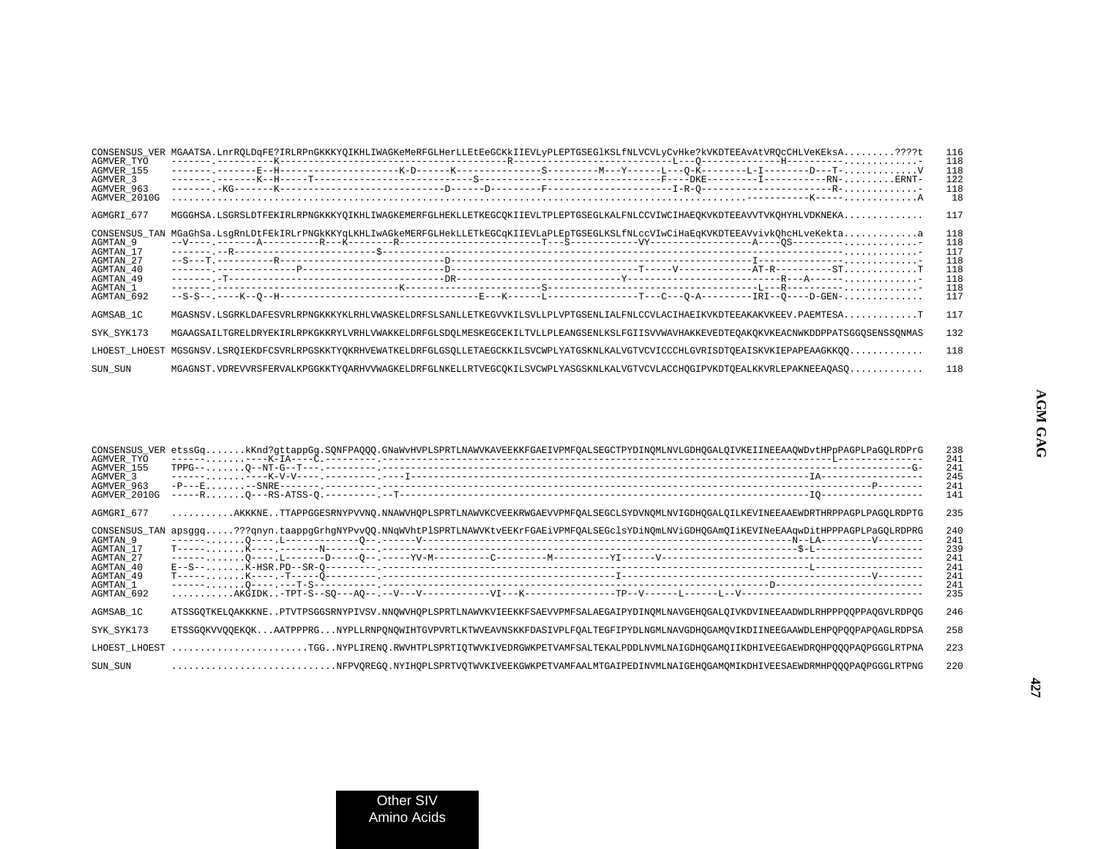| CONSENSUS VER<br>AGMVER TYO<br>AGMVER_155<br>AGMVER 3<br>AGMVER 963<br>AGMVER_2010G                     | MGAATSA.LnrRQLDqFE?IRLRPnGKKKYQIKHLIWAGKeMeRFGLHerLLEtEeGCKkIIEVLyPLEPTGSEG1KSLfNLVCVLyCvHke?kVKDTEEAvAtVRQcCHLVeKEksA????t           | 116<br>118<br>118<br>122<br>118<br>18                |
|---------------------------------------------------------------------------------------------------------|---------------------------------------------------------------------------------------------------------------------------------------|------------------------------------------------------|
| AGMGRI 677                                                                                              |                                                                                                                                       | 117                                                  |
| CONSENSUS TAN<br>AGMTAN 9<br>AGMTAN 17<br>AGMTAN 27<br>AGMTAN 40<br>AGMTAN 49<br>AGMTAN 1<br>AGMTAN_692 | MGaGhSa.LsgRnLDtFEkIRLrPNGkKKYqLKHLIwAGkeMERFGLHekLLETkEGCqKIIEVLaPLEpTGSEGLKSLfNLccVIwCiHaEqKVKDTEEAVvivkQhcHLveKektaa               | 118<br>118<br>117<br>118<br>118<br>118<br>118<br>117 |
| AGMSAB 1C                                                                                               | MGASNSV.LSGRKLDAFESVRLRPNGKKKYKLRHLVWASKELDRFSLSANLLETKEGVVKILSVLLPLVPTGSENLIALFNLCCVLACIHAEIKVKDTEEAKAKVKEEV.PAEMTESAT               | 117                                                  |
| SYK SYK173                                                                                              | MGAAGSAILTGRELDRYEKIRLRPKGKKRYLVRHLVWAKKELDRFGLSDOLMESKEGCEKILTVLLPLEANGSENLKSLFGIISVVWAVHAKKEVEDTEOAKOKVKEACNWKDDPPATSGGOSENSSONMAS  | 132                                                  |
|                                                                                                         | LHOEST LHOEST MGSGNSV.LSROIEKDFCSVRLRPGSKKTYOKRHVEWATKELDRFGLGSOLLETAEGCKKILSVCWPLYATGSKNLKALVGTVCVICCCHLGVRISDTOEAISKVKIEPAPEAAGKKOO | 118                                                  |
| SUN SUN                                                                                                 |                                                                                                                                       | 118                                                  |

| AGMVER TYO<br>AGMVER 155<br>AGMVER 3<br>AGMVER 963<br>AGMVER 2010G                                      | CONSENSUS_VER etssGqkKnd?gttappGg.SQNFPAQQQ.GNaWvHVPLSPRTLNAWVKAVEEKKFGAEIVPMFQALSEGCTPYDINQMLNVLGDHQGALQIVKEIINEEAAQWDvtHPpPAGPLPaGQLRDPrG                            | 238<br>241<br>241<br>245<br>241<br>141               |
|---------------------------------------------------------------------------------------------------------|------------------------------------------------------------------------------------------------------------------------------------------------------------------------|------------------------------------------------------|
| AGMGRI 677                                                                                              | AKKKNETTAPPGGESRNYPVVNO.NNAWVHOPLSPRTLNAWVKCVEEKRWGAEVVPMFOALSEGCLSYDVNOMLNVIGDHOGALOILKEVINEEAAEWDRTHRPPAGPLPAGOLRDPTG                                                | 235                                                  |
| CONSENSUS TAN<br>AGMTAN 9<br>AGMTAN 17<br>AGMTAN 27<br>AGMTAN 40<br>AGMTAN 49<br>AGMTAN 1<br>AGMTAN 692 | apsggq???qnyn.taappgGrhgNYPvvQQ.NNqWVhtPlSPRTLNAWVKtvEEKrFGAEiVPMFQALSEGclsYDiNQmLNViGDHQGAmQIiKEVINeEAAqwDitHPPPAGPLPaGQLRDPRG                                        | 240<br>241<br>239<br>241<br>241<br>241<br>241<br>235 |
| AGMSAB_1C                                                                                               | ATSSGQTKELQAKKKNEPTVTPSGGSRNYPIVSV.NNQWVHQPLSPRTLNAWVKVIEEKKFSAEVVPMFSALAEGAIPYDINQMLNAVGEHQGALQIVKDVINEEAADWDLRHPPPQQPPAQGVLRDPQG                                     | 246                                                  |
| SYK SYK173                                                                                              | ETSSGOKVVOOEKOKAATPPPRGNYPLLRNPONOWIHTGVPVRTLKTWVEAVNSKKFDASIVPLFOALTEGFIPYDLNGMLNAVGDHOGAMOVIKDIINEEGAAWDLEHPOPOOPAPOAGLRDPSA                                         | 258                                                  |
|                                                                                                         | LHOEST LHOEST TGGNYPLIRENO.RWVHTPLSPRTIOTWVKIVEDRGWKPETVAMFSALTEKALPDDLNVMLNAIGDHOGAMOIIKDHIVEEGAEWDROHPOOOPAOPGGGLRTPNA                                               | 223                                                  |
| SUN SUN                                                                                                 | $\ldots\ldots\ldots\ldots\ldots\ldots\ldots\ldots\ldots\ldots$ NFPVOREGO.NYIHOPLSPRTVOTWVKIVEEKGWKPETVAMFAALMTGAIPEDINVMLNAIGEHOGAMOMIKDHIVEESAEWDRMHPOOOPAOPGGGLRTPNG | 220                                                  |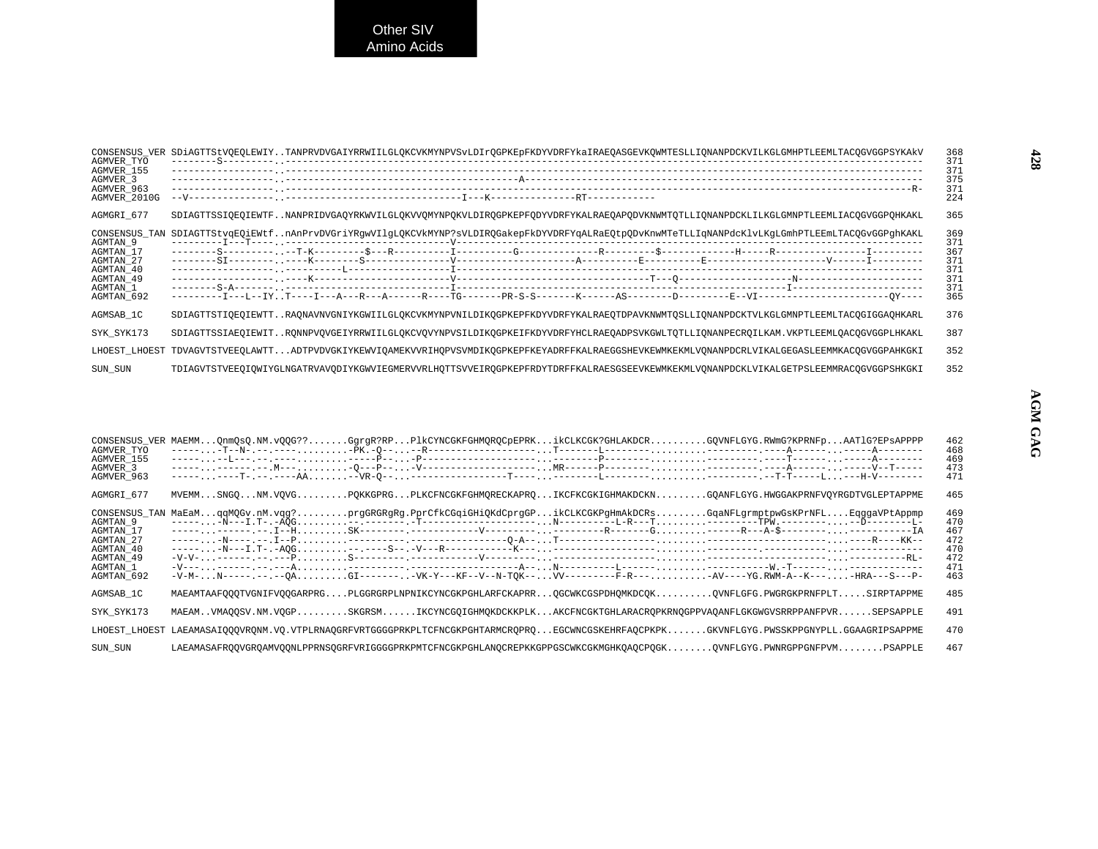| CONSENSUS VER<br>AGMVER TYO<br>AGMVER 155<br>AGMVER <sub>3</sub><br>AGMVER 963<br>AGMVER 2010G          | SDiAGTTStVQEQLEWIYTANPRVDVGAIYRRWIILGLQKCVKMYNPVSvLDIrQGPKEpFKDYVDRFYkaIRAEQASGEVKQWMTESLLIQNANPDCKVILKGLGMHPTLEEMLTACQGVGGPSYKAkV              | 368<br>371<br>371<br>375<br>371<br>224               |
|---------------------------------------------------------------------------------------------------------|-------------------------------------------------------------------------------------------------------------------------------------------------|------------------------------------------------------|
| AGMGRI 677                                                                                              | SDIAGTTSSIQEQIEWTFNANPRIDVGAQYRKWVILGLQKVVQMYNPQKVLDIRQGPKEPFQDYVDRFYKALRAEQAPQDVKNWMTQTLLIQNANPDCKLILKGLGMNPTLEEMLIACQGVGGPQHKAKL              | 365                                                  |
| CONSENSUS TAN<br>AGMTAN 9<br>AGMTAN 17<br>AGMTAN 27<br>AGMTAN 40<br>AGMTAN 49<br>AGMTAN 1<br>AGMTAN 692 | SDIAGTTStvqEQiEWtfnAnPrvDVGriYRgwVIlgLQKCVkMYNP?sVLDIRQGakepFkDYVDRFYqALRaEQtpQDvKnwMTeTLLIqNANPdcKlvLKgLGmhPTLEEmLTACQGvGGPghKAKL              | 369<br>371<br>367<br>371<br>371<br>371<br>371<br>365 |
| AGMSAB 1C                                                                                               | SDIAGTTSTIOEOIEWTTRAONAVNVGNIYKGWIILGLOKCVKMYNPVNILDIKOGPKEPFKDYVDRFYKALRAEOTDPAVKNWMTOSLLIONANPDCKTVLKGLGMNPTLEEMLTACOGIGGAOHKARL              | 376                                                  |
| SYK SYK173                                                                                              | SDIAGTTSSIAEOIEWITRONNPVOVGEIYRRWIILGLOKCVOVYNPVSILDIKOGPKEIFKDYVDRFYHCLRAEOADPSVKGWLTOTLLIONANPECROILKAM.VKPTLEEMLOACOGVGGPLHKAKL              | 387                                                  |
|                                                                                                         | LHOEST LHOEST TDVAGVTSTVEEOLAWTTADTPVDVGKIYKEWVIOAMEKVVRIHOPVSVMDIKOGPKEPFKEYADRFFKALRAEGGSHEVKEWMKEKMLVONANPDCRLVIKALGEGASLEEMMKACOGVGGPAHKGKI | 352                                                  |
| SUN SUN                                                                                                 | TDIAGVTSTVEEOIOWIYGLNGATRVAVODIYKGWVIEGMERVVRLHOTTSVVEIROGPKEPFRDYTDRFFKALRAESGSEEVKEWMKEKMLVONANPDCKLVIKALGETPSLEEMMRACOGVGGPSHKGKI            | 352                                                  |

| CONSENSUS VER | MAEMMQnmQsQ.NM.vQQG??GgrgR?RPPlkCYNCGKFGHMQRQCpEPRKikCLKCGK?GHLAKDCRGQVNFLGYG.RWmG?KPRNFpAATlG?EPsAPPPP                                  | 462 |
|---------------|------------------------------------------------------------------------------------------------------------------------------------------|-----|
| AGMVER TYO    |                                                                                                                                          | 468 |
| AGMVER 155    |                                                                                                                                          | 469 |
| AGMVER 3      |                                                                                                                                          | 473 |
| AGMVER 963    |                                                                                                                                          | 471 |
| AGMGRI 677    | MVEMMSNGONM.VOVGPOKKGPRGPLKCFNCGKFGHMORECKAPROIKCFKCGKIGHMAKDCKNGOANFLGYG.HWGGAKPRNFVOYRGDTVGLEPTAPPME                                   | 465 |
| CONSENSUS TAN | MaEaMqqMQGv.nM.vqg?prgGRGRgRg.PprCfkCGqiGHiQKdCprgGPikCLKCGKPgHmAkDCRsGqaNFLgrmptpwGsKPrNFLEqqgaVPtAppmp                                 | 469 |
| AGMTAN 9      |                                                                                                                                          | 470 |
| AGMTAN 17     |                                                                                                                                          | 467 |
| AGMTAN 27     |                                                                                                                                          | 472 |
| AGMTAN 40     |                                                                                                                                          | 470 |
| AGMTAN 49     |                                                                                                                                          | 472 |
| AGMTAN 1      |                                                                                                                                          | 471 |
| AGMTAN 692    | $-V-M N-----$ .-- $QA$ $GI---- VK-Y---KF-V--N-TQK-- VV------F-R-- AV---YG$ .RWM-A--K----HRA--S---P-                                      | 463 |
| AGMSAB 1C     | MAEAMTAAFOOOTVGNIFVOOGARPRGPLGGRGRPLNPNIKCYNCGKPGHLARFCKAPRROGCWKCGSPDHOMKDCOKOVNFLGFG.PWGRGKPRNFPLTSIRPTAPPME                           | 485 |
| SYK SYK173    | MAEAMVMAOOSV.NM.VOGPSKGRSMIKCYNCGOIGHMOKDCKKPLKAKCFNCGKTGHLARACROPKRNOGPPVAOANFLGKGWGVSRRPPANFPVRSEPSAPPLE                               | 491 |
|               | LHOEST LHOEST LAEAMASAI000VRONM.VO.VTPLRNAOGRFVRTGGGGPRKPLTCFNCGKPGHTARMCROPROEGCWNCGSKEHRFAOCPKPKGKVNFLGYG.PWSSKPPGNYPLL.GGAAGRIPSAPPME | 470 |
| SUN SUN       | LAEAMASAFROOVGROAMVOONLPPRNSOGRFVRIGGGGPRKPMTCFNCGKPGHLANOCREPKKGPPGSCWKCGKMGHKOAOCPOGKOVNFLGYG.PWNRGPPGNFPVMPSAPPLE                     | 467 |